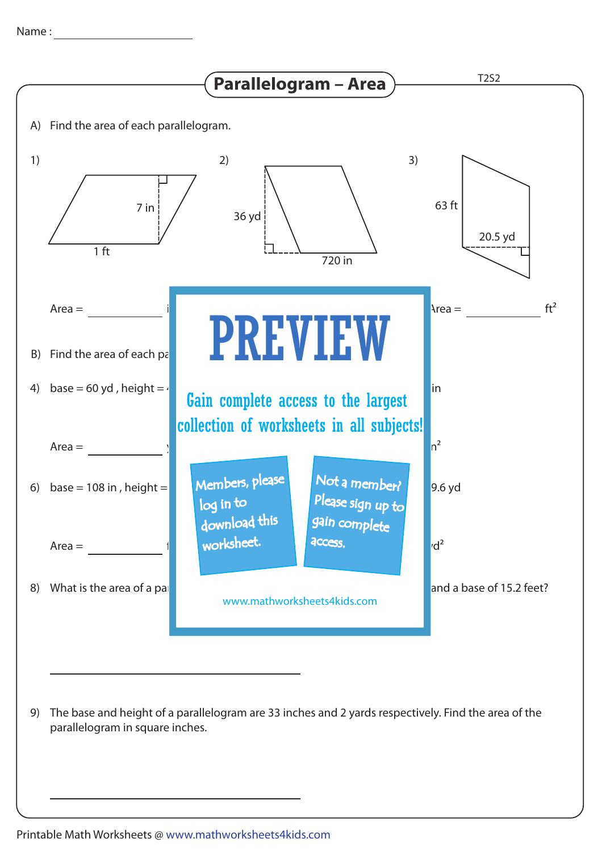

The base and height of a parallelogram are 33 inches and 2 yards respectively. Find the area of the 9) parallelogram in square inches.